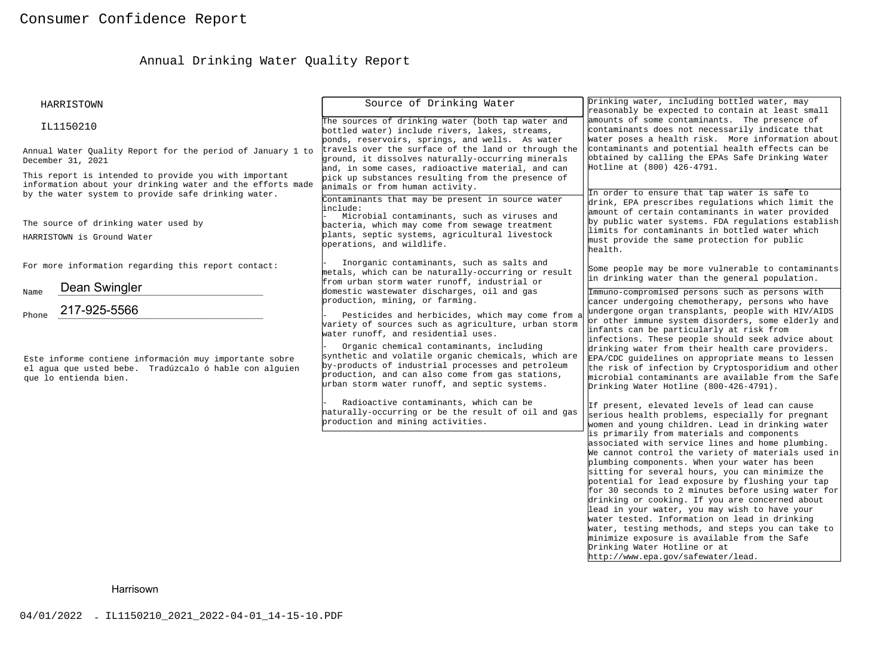# Annual Drinking Water Quality Report

| HARRISTOWN                                                                                                                                                                 | Source of Drinking Water                                                                                                                                                                                                                                                                                                                                                                                                                                                                                                                          | Drinking water, including bottled water, may<br>reasonably be expected to contain at least small                                                                                                                                                                                                                                                                                                                                                                                                                                                                                                                                                                                                                                                                                                                                                                                                                                                                                                                                                                                                                                                                                                                                                                                  |
|----------------------------------------------------------------------------------------------------------------------------------------------------------------------------|---------------------------------------------------------------------------------------------------------------------------------------------------------------------------------------------------------------------------------------------------------------------------------------------------------------------------------------------------------------------------------------------------------------------------------------------------------------------------------------------------------------------------------------------------|-----------------------------------------------------------------------------------------------------------------------------------------------------------------------------------------------------------------------------------------------------------------------------------------------------------------------------------------------------------------------------------------------------------------------------------------------------------------------------------------------------------------------------------------------------------------------------------------------------------------------------------------------------------------------------------------------------------------------------------------------------------------------------------------------------------------------------------------------------------------------------------------------------------------------------------------------------------------------------------------------------------------------------------------------------------------------------------------------------------------------------------------------------------------------------------------------------------------------------------------------------------------------------------|
| IL1150210                                                                                                                                                                  | The sources of drinking water (both tap water and<br>bottled water) include rivers, lakes, streams,<br>ponds, reservoirs, springs, and wells. As water                                                                                                                                                                                                                                                                                                                                                                                            | amounts of some contaminants. The presence of<br>contaminants does not necessarily indicate that<br>water poses a health risk. More information about                                                                                                                                                                                                                                                                                                                                                                                                                                                                                                                                                                                                                                                                                                                                                                                                                                                                                                                                                                                                                                                                                                                             |
| Annual Water Quality Report for the period of January 1 to<br>December 31, 2021                                                                                            | travels over the surface of the land or through the<br>ground, it dissolves naturally-occurring minerals<br>and, in some cases, radioactive material, and can                                                                                                                                                                                                                                                                                                                                                                                     | contaminants and potential health effects can be<br>obtained by calling the EPAs Safe Drinking Water<br>Hotline at (800) 426-4791.                                                                                                                                                                                                                                                                                                                                                                                                                                                                                                                                                                                                                                                                                                                                                                                                                                                                                                                                                                                                                                                                                                                                                |
| This report is intended to provide you with important<br>information about your drinking water and the efforts made<br>by the water system to provide safe drinking water. | pick up substances resulting from the presence of<br>animals or from human activity.<br>Contaminants that may be present in source water<br>include:                                                                                                                                                                                                                                                                                                                                                                                              | In order to ensure that tap water is safe to<br>drink, EPA prescribes regulations which limit the                                                                                                                                                                                                                                                                                                                                                                                                                                                                                                                                                                                                                                                                                                                                                                                                                                                                                                                                                                                                                                                                                                                                                                                 |
| The source of drinking water used by<br>HARRISTOWN is Ground Water                                                                                                         | Microbial contaminants, such as viruses and<br>bacteria, which may come from sewage treatment<br>plants, septic systems, agricultural livestock<br>operations, and wildlife.                                                                                                                                                                                                                                                                                                                                                                      | amount of certain contaminants in water provided<br>by public water systems. FDA regulations establish<br>limits for contaminants in bottled water which<br>must provide the same protection for public<br>health.                                                                                                                                                                                                                                                                                                                                                                                                                                                                                                                                                                                                                                                                                                                                                                                                                                                                                                                                                                                                                                                                |
| For more information regarding this report contact:                                                                                                                        | Inorganic contaminants, such as salts and<br>metals, which can be naturally-occurring or result<br>from urban storm water runoff, industrial or                                                                                                                                                                                                                                                                                                                                                                                                   | Some people may be more vulnerable to contaminants<br>in drinking water than the general population.                                                                                                                                                                                                                                                                                                                                                                                                                                                                                                                                                                                                                                                                                                                                                                                                                                                                                                                                                                                                                                                                                                                                                                              |
| Dean Swingler<br>Name<br>217-925-5566<br>Phone                                                                                                                             | domestic wastewater discharges, oil and gas<br>production, mining, or farming.                                                                                                                                                                                                                                                                                                                                                                                                                                                                    | Immuno-compromised persons such as persons with<br>cancer undergoing chemotherapy, persons who have<br>undergone organ transplants, people with HIV/AIDS                                                                                                                                                                                                                                                                                                                                                                                                                                                                                                                                                                                                                                                                                                                                                                                                                                                                                                                                                                                                                                                                                                                          |
| Este informe contiene información muy importante sobre<br>el aqua que usted bebe. Tradúzcalo ó hable con alquien<br>que lo entienda bien.                                  | Pesticides and herbicides, which may come from a<br>variety of sources such as agriculture, urban storm<br>water runoff, and residential uses.<br>Organic chemical contaminants, including<br>synthetic and volatile organic chemicals, which are<br>by-products of industrial processes and petroleum<br>production, and can also come from gas stations,<br>urban storm water runoff, and septic systems.<br>Radioactive contaminants, which can be<br>haturally-occurring or be the result of oil and gas<br>production and mining activities. | or other immune system disorders, some elderly and<br>infants can be particularly at risk from<br>infections. These people should seek advice about<br>drinking water from their health care providers.<br>EPA/CDC guidelines on appropriate means to lessen<br>the risk of infection by Cryptosporidium and other<br>microbial contaminants are available from the Safe<br>Drinking Water Hotline (800-426-4791).<br>If present, elevated levels of lead can cause<br>serious health problems, especially for pregnant<br>women and young children. Lead in drinking water<br>is primarily from materials and components<br>associated with service lines and home plumbing.<br>We cannot control the variety of materials used in<br>plumbing components. When your water has been<br>sitting for several hours, you can minimize the<br>potential for lead exposure by flushing your tap<br>for 30 seconds to 2 minutes before using water for<br>drinking or cooking. If you are concerned about<br>lead in your water, you may wish to have your<br>water tested. Information on lead in drinking<br>water, testing methods, and steps you can take to<br>minimize exposure is available from the Safe<br>Drinking Water Hotline or at<br>http://www.epa.gov/safewater/lead. |
| Harrisown                                                                                                                                                                  |                                                                                                                                                                                                                                                                                                                                                                                                                                                                                                                                                   |                                                                                                                                                                                                                                                                                                                                                                                                                                                                                                                                                                                                                                                                                                                                                                                                                                                                                                                                                                                                                                                                                                                                                                                                                                                                                   |
| 04/01/2022 - IL1150210_2021_2022-04-01_14-15-10.PDF                                                                                                                        |                                                                                                                                                                                                                                                                                                                                                                                                                                                                                                                                                   |                                                                                                                                                                                                                                                                                                                                                                                                                                                                                                                                                                                                                                                                                                                                                                                                                                                                                                                                                                                                                                                                                                                                                                                                                                                                                   |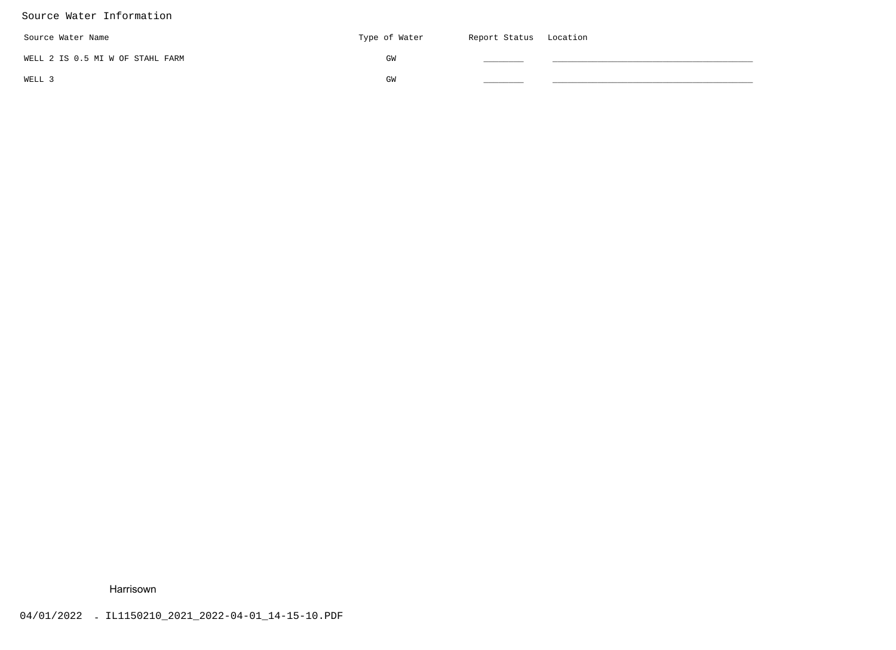# Source Water Information

| Source Water Name                | Type of Water | Report Status Location |  |
|----------------------------------|---------------|------------------------|--|
| WELL 2 IS 0.5 MI W OF STAHL FARM | GM            |                        |  |
| WELL 3                           | GW            |                        |  |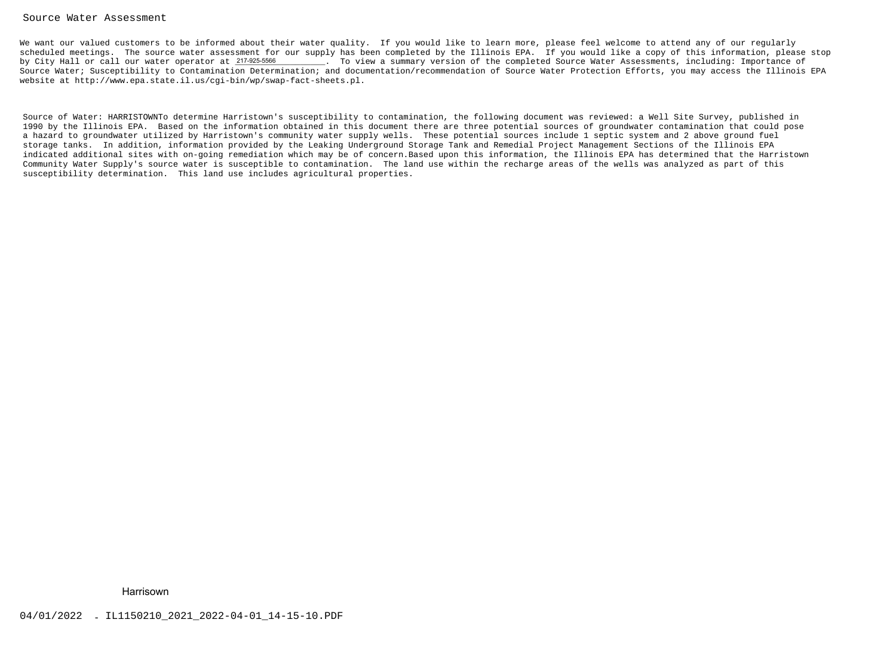#### Source Water Assessment

We want our valued customers to be informed about their water quality. If you would like to learn more, please feel welcome to attend any of our regularly scheduled meetings. The source water assessment for our supply has been completed by the Illinois EPA. If you would like a copy of this information, please stopby City Hall or call our water operator at 217-925-5566 \_\_\_\_\_\_\_\_. To view a summary version of the completed Source Water Assessments, including: Importance of Source Water; Susceptibility to Contamination Determination; and documentation/recommendation of Source Water Protection Efforts, you may access the Illinois EPAwebsite at http://www.epa.state.il.us/cgi-bin/wp/swap-fact-sheets.pl.

Source of Water: HARRISTOWNTo determine Harristown's susceptibility to contamination, the following document was reviewed: a Well Site Survey, published in 1990 by the Illinois EPA. Based on the information obtained in this document there are three potential sources of groundwater contamination that could posea hazard to groundwater utilized by Harristown's community water supply wells. These potential sources include 1 septic system and 2 above ground fuel storage tanks. In addition, information provided by the Leaking Underground Storage Tank and Remedial Project Management Sections of the Illinois EPA indicated additional sites with on-going remediation which may be of concern.Based upon this information, the Illinois EPA has determined that the HarristownCommunity Water Supply's source water is susceptible to contamination. The land use within the recharge areas of the wells was analyzed as part of thissusceptibility determination. This land use includes agricultural properties.% City Hall or call our water operator at 2M68586<br>
course Water: Superprinting to Contamination Determination, and<br>embates the Inter-?/www.epa.state.11.us/cyl-bin/wp/swap-fact-cheet<br>
Source of Water: KARKISTOWNTo determin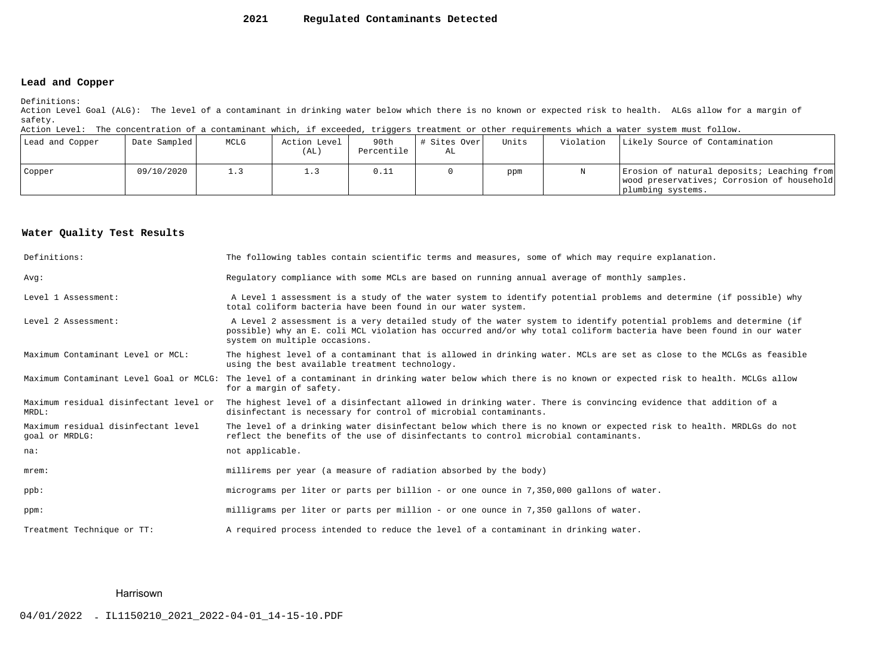#### **2021Regulated Contaminants Detected**

## **Lead and Copper**

Definitions:

 Action Level Goal (ALG): The level of a contaminant in drinking water below which there is no known or expected risk to health. ALGs allow for a margin ofsafety.

Action Level: The concentration of a contaminant which, if exceeded, triggers treatment or other requirements which a water system must follow.

| Lead and Copper | Date Sampled | MCLG | Action Level<br>(AL) | 90th<br>Percentile | # Sites Over<br>AL | Units | Violation | Likely Source of Contamination                                                                                |
|-----------------|--------------|------|----------------------|--------------------|--------------------|-------|-----------|---------------------------------------------------------------------------------------------------------------|
| Copper          | 09/10/2020   | 1.3  |                      | 0.11               |                    | ppm   |           | Erosion of natural deposits; Leaching from<br>wood preservatives; Corrosion of household<br>plumbing systems. |

## **Water Quality Test Results**

| Definitions:                                          | The following tables contain scientific terms and measures, some of which may require explanation.                                                                                                                                                                         |
|-------------------------------------------------------|----------------------------------------------------------------------------------------------------------------------------------------------------------------------------------------------------------------------------------------------------------------------------|
| Avq:                                                  | Requlatory compliance with some MCLs are based on running annual average of monthly samples.                                                                                                                                                                               |
| Level 1 Assessment:                                   | A Level 1 assessment is a study of the water system to identify potential problems and determine (if possible) why<br>total coliform bacteria have been found in our water system.                                                                                         |
| Level 2 Assessment:                                   | A Level 2 assessment is a very detailed study of the water system to identify potential problems and determine (if<br>possible) why an E. coli MCL violation has occurred and/or why total coliform bacteria have been found in our water<br>system on multiple occasions. |
| Maximum Contaminant Level or MCL:                     | The highest level of a contaminant that is allowed in drinking water. MCLs are set as close to the MCLGs as feasible<br>using the best available treatment technology.                                                                                                     |
| Maximum Contaminant Level Goal or MCLG:               | The level of a contaminant in drinking water below which there is no known or expected risk to health. MCLGs allow<br>for a margin of safety.                                                                                                                              |
| Maximum residual disinfectant level or<br>MRDL:       | The highest level of a disinfectant allowed in drinking water. There is convincing evidence that addition of a<br>disinfectant is necessary for control of microbial contaminants.                                                                                         |
| Maximum residual disinfectant level<br>goal or MRDLG: | The level of a drinking water disinfectant below which there is no known or expected risk to health. MRDLGs do not<br>reflect the benefits of the use of disinfectants to control microbial contaminants.                                                                  |
| na:                                                   | not applicable.                                                                                                                                                                                                                                                            |
| $m$ rem:                                              | millirems per year (a measure of radiation absorbed by the body)                                                                                                                                                                                                           |
| $ppb$ :                                               | micrograms per liter or parts per billion - or one ounce in 7,350,000 gallons of water.                                                                                                                                                                                    |
| ppm:                                                  | milligrams per liter or parts per million - or one ounce in 7,350 gallons of water.                                                                                                                                                                                        |
| Treatment Technique or TT:                            | A required process intended to reduce the level of a contaminant in drinking water.                                                                                                                                                                                        |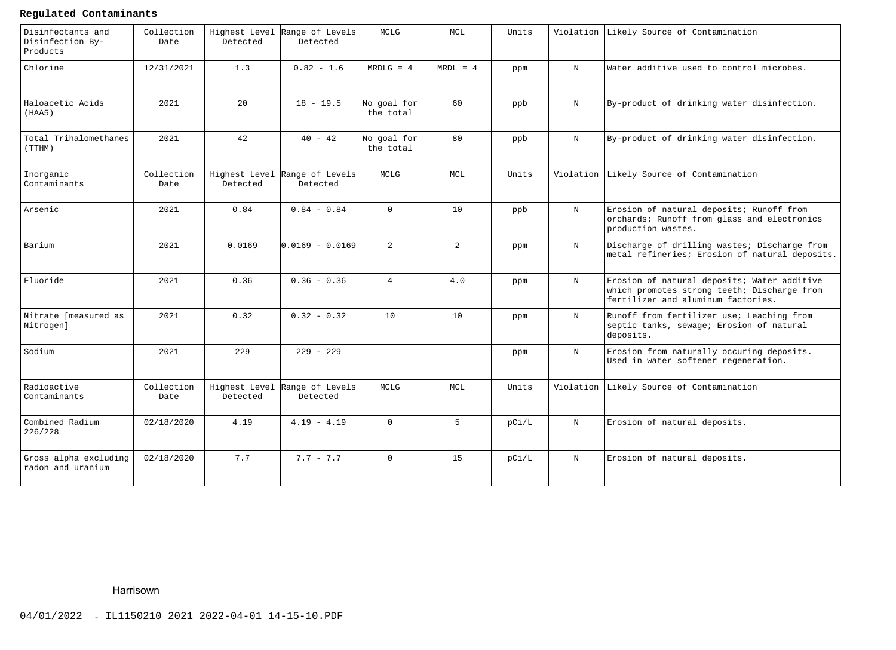# **Regulated Contaminants**

| Disinfectants and<br>Disinfection By-<br>Products | Collection<br>Date | Highest Level<br>Detected | Range of Levels<br>Detected | MCLG                     | MCL            | Units |             | Violation Likely Source of Contamination                                                                                         |
|---------------------------------------------------|--------------------|---------------------------|-----------------------------|--------------------------|----------------|-------|-------------|----------------------------------------------------------------------------------------------------------------------------------|
| Chlorine                                          | 12/31/2021         | 1.3                       | $0.82 - 1.6$                | $MRDLG = 4$              | $MRDL = 4$     | ppm   | $_{\rm N}$  | Water additive used to control microbes.                                                                                         |
| Haloacetic Acids<br>(HAA5)                        | 2021               | 20                        | $18 - 19.5$                 | No goal for<br>the total | 60             | ppb   | $\mathbf N$ | By-product of drinking water disinfection.                                                                                       |
| Total Trihalomethanes<br>(TTHM)                   | 2021               | 42                        | $40 - 42$                   | No goal for<br>the total | 80             | ppb   | $\mathbf N$ | By-product of drinking water disinfection.                                                                                       |
| Inorganic<br>Contaminants                         | Collection<br>Date | Highest Level<br>Detected | Range of Levels<br>Detected | MCLG                     | MCL            | Units | Violation   | Likely Source of Contamination                                                                                                   |
| Arsenic                                           | 2021               | 0.84                      | $0.84 - 0.84$               | $\Omega$                 | 10             | ppb   | $_{\rm N}$  | Erosion of natural deposits; Runoff from<br>orchards; Runoff from glass and electronics<br>production wastes.                    |
| Barium                                            | 2021               | 0.0169                    | lo.o169 - o.o169            | $\overline{2}$           | $\overline{a}$ | ppm   | $\mathbf N$ | Discharge of drilling wastes; Discharge from<br>metal refineries; Erosion of natural deposits.                                   |
| Fluoride                                          | 2021               | 0.36                      | $0.36 - 0.36$               | $\overline{4}$           | 4.0            | ppm   | $_{\rm N}$  | Erosion of natural deposits; Water additive<br>which promotes strong teeth; Discharge from<br>fertilizer and aluminum factories. |
| Nitrate [measured as<br>Nitrogen]                 | 2021               | 0.32                      | $0.32 - 0.32$               | 10                       | 10             | ppm   | $_{\rm N}$  | Runoff from fertilizer use; Leaching from<br>septic tanks, sewage; Erosion of natural<br>deposits.                               |
| Sodium                                            | 2021               | 229                       | $229 - 229$                 |                          |                | ppm   | $\mathbf N$ | Erosion from naturally occuring deposits.<br>Used in water softener regeneration.                                                |
| Radioactive<br>Contaminants                       | Collection<br>Date | Highest Level<br>Detected | Range of Levels<br>Detected | MCLG                     | MCL            | Units | Violation   | Likely Source of Contamination                                                                                                   |
| Combined Radium<br>226/228                        | 02/18/2020         | 4.19                      | $4.19 - 4.19$               | $\Omega$                 | $5 -$          | pC1/L | $_{\rm N}$  | Erosion of natural deposits.                                                                                                     |
| Gross alpha excluding<br>radon and uranium        | 02/18/2020         | 7.7                       | $7.7 - 7.7$                 | $\Omega$                 | 15             | pci/L | $\mathbf N$ | Erosion of natural deposits.                                                                                                     |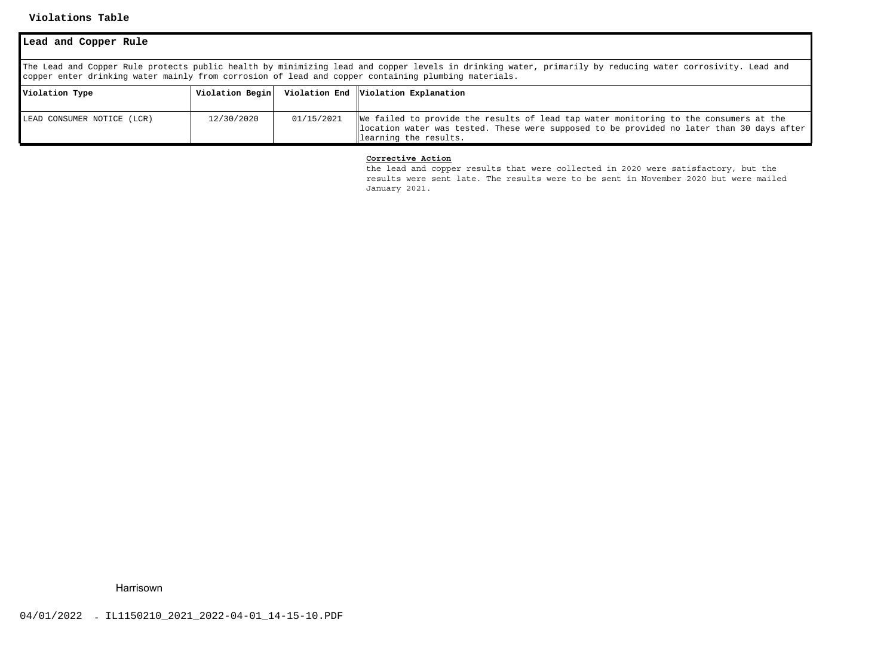### **Violations Table**

| Lead and Copper Rule                                                                                                                                                                                                                                             |                 |            |                                                                                                                                                                                                             |  |  |  |  |  |
|------------------------------------------------------------------------------------------------------------------------------------------------------------------------------------------------------------------------------------------------------------------|-----------------|------------|-------------------------------------------------------------------------------------------------------------------------------------------------------------------------------------------------------------|--|--|--|--|--|
| The Lead and Copper Rule protects public health by minimizing lead and copper levels in drinking water, primarily by reducing water corrosivity. Lead and<br>copper enter drinking water mainly from corrosion of lead and copper containing plumbing materials. |                 |            |                                                                                                                                                                                                             |  |  |  |  |  |
| Violation Type                                                                                                                                                                                                                                                   | Violation Begin |            | Violation End   Violation Explanation                                                                                                                                                                       |  |  |  |  |  |
| LEAD CONSUMER NOTICE (LCR)                                                                                                                                                                                                                                       | 12/30/2020      | 01/15/2021 | We failed to provide the results of lead tap water monitoring to the consumers at the<br>location water was tested. These were supposed to be provided no later than 30 days after<br>learning the results. |  |  |  |  |  |

### **Corrective Action**

 the lead and copper results that were collected in 2020 were satisfactory, but the results were sent late. The results were to be sent in November 2020 but were mailed January 2021.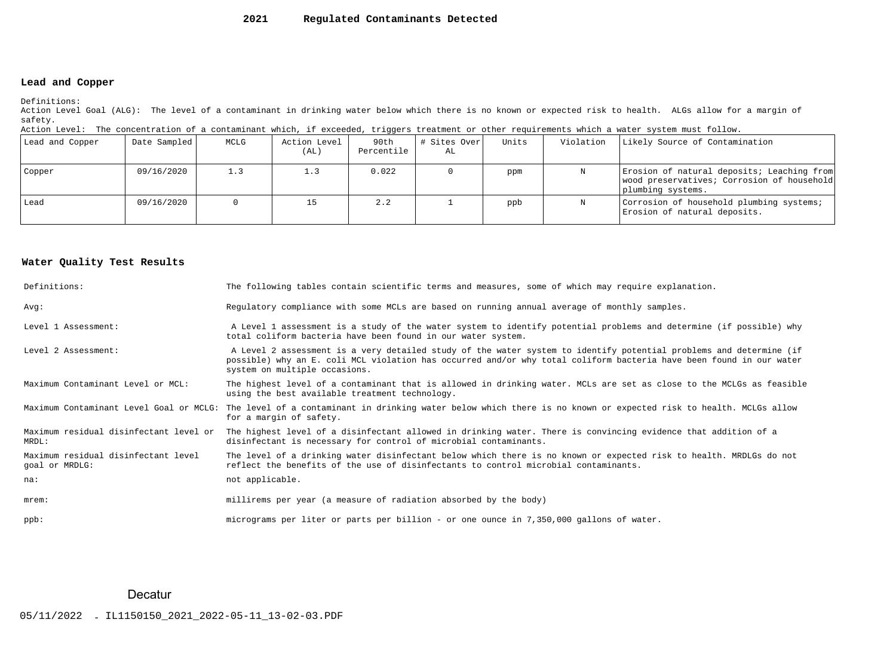#### **2021Regulated Contaminants Detected**

# **Lead and Copper**

Definitions:

 Action Level Goal (ALG): The level of a contaminant in drinking water below which there is no known or expected risk to health. ALGs allow for a margin ofsafety.

| Action Level: The concentration of a contaminant which, if exceeded, triggers treatment or other requirements which a water system must follow. |  |  |  |
|-------------------------------------------------------------------------------------------------------------------------------------------------|--|--|--|
|                                                                                                                                                 |  |  |  |

| Lead and Copper | Date Sampled | MCLG | Action Level<br>(AL) | 90th<br>Percentile | # Sites Over <br>AL | Units | Violation | Likely Source of Contamination                                                                                |
|-----------------|--------------|------|----------------------|--------------------|---------------------|-------|-----------|---------------------------------------------------------------------------------------------------------------|
| Copper          | 09/16/2020   | 1.3  |                      | 0.022              |                     | ppm   |           | Erosion of natural deposits; Leaching from<br>wood preservatives; Corrosion of household<br>plumbing systems. |
| Lead            | 09/16/2020   |      |                      | 2.2                |                     | ppb   |           | Corrosion of household plumbing systems;<br>Erosion of natural deposits.                                      |

# **Water Quality Test Results**

| Definitions:                                          | The following tables contain scientific terms and measures, some of which may require explanation.                                                                                                                                                                         |
|-------------------------------------------------------|----------------------------------------------------------------------------------------------------------------------------------------------------------------------------------------------------------------------------------------------------------------------------|
| Avq:                                                  | Requlatory compliance with some MCLs are based on running annual average of monthly samples.                                                                                                                                                                               |
| Level 1 Assessment:                                   | A Level 1 assessment is a study of the water system to identify potential problems and determine (if possible) why<br>total coliform bacteria have been found in our water system.                                                                                         |
| Level 2 Assessment:                                   | A Level 2 assessment is a very detailed study of the water system to identify potential problems and determine (if<br>possible) why an E. coli MCL violation has occurred and/or why total coliform bacteria have been found in our water<br>system on multiple occasions. |
| Maximum Contaminant Level or MCL:                     | The highest level of a contaminant that is allowed in drinking water. MCLs are set as close to the MCLGs as feasible<br>using the best available treatment technology.                                                                                                     |
|                                                       | Maximum Contaminant Level Goal or MCLG: The level of a contaminant in drinking water below which there is no known or expected risk to health. MCLGs allow<br>for a margin of safety.                                                                                      |
| Maximum residual disinfectant level or<br>MRDL:       | The highest level of a disinfectant allowed in drinking water. There is convincing evidence that addition of a<br>disinfectant is necessary for control of microbial contaminants.                                                                                         |
| Maximum residual disinfectant level<br>goal or MRDLG: | The level of a drinking water disinfectant below which there is no known or expected risk to health. MRDLGs do not<br>reflect the benefits of the use of disinfectants to control microbial contaminants.                                                                  |
| na:                                                   | not applicable.                                                                                                                                                                                                                                                            |
| $m$ rem:                                              | millirems per year (a measure of radiation absorbed by the body)                                                                                                                                                                                                           |
| ppb:                                                  | micrograms per liter or parts per billion - or one ounce in 7,350,000 gallons of water.                                                                                                                                                                                    |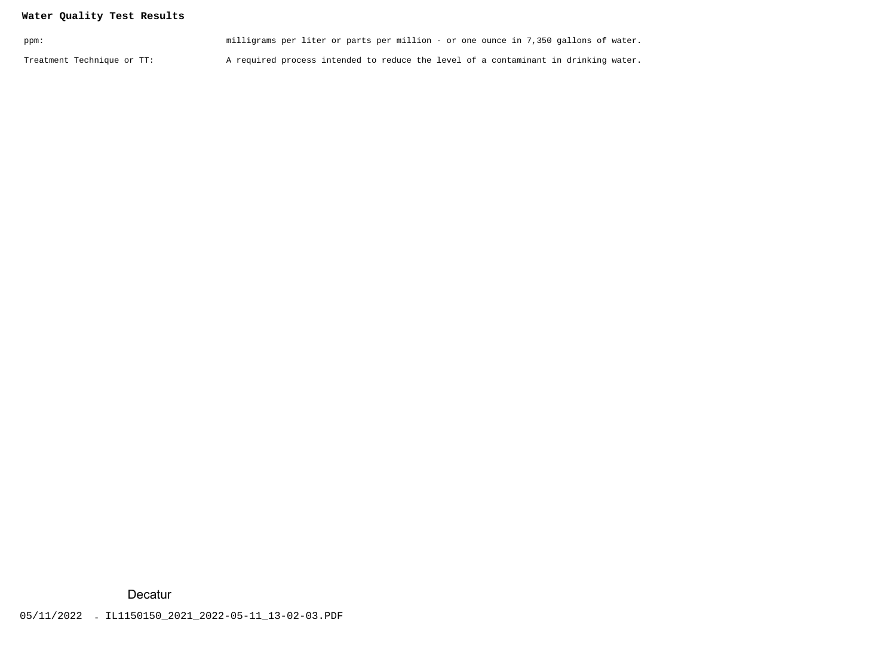# **Water Quality Test Results**

| ppm:                       | milligrams per liter or parts per million - or one ounce in 7,350 gallons of water. |
|----------------------------|-------------------------------------------------------------------------------------|
| Treatment Technique or TT: | A required process intended to reduce the level of a contaminant in drinking water. |

**Decatur**<br>05/11/2022 - IL1150150\_2021\_2022-05-11\_13-02-03.PDF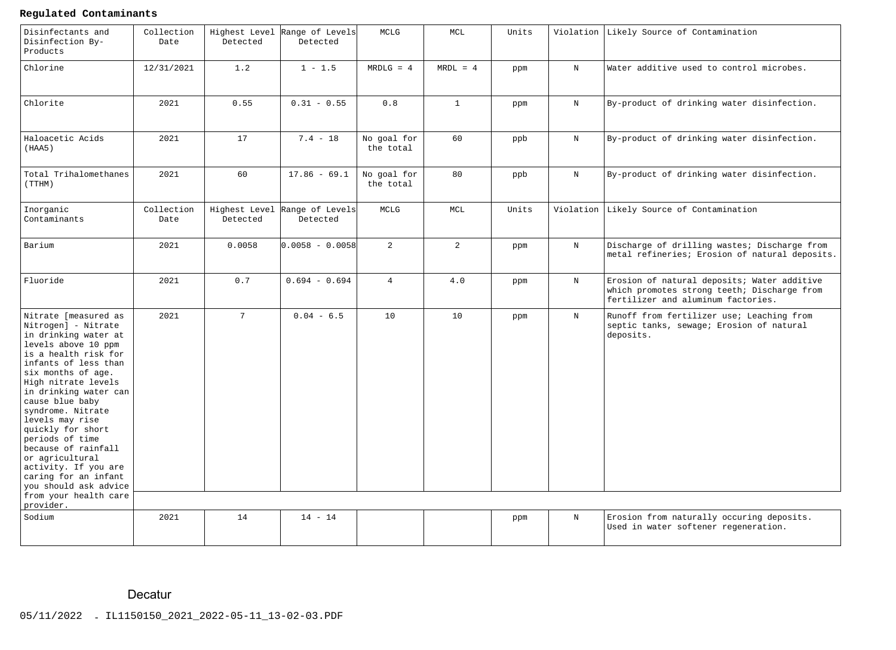# **Regulated Contaminants**

| Disinfectants and<br>Disinfection By-<br>Products                                                                                                                                                                                                                                                                                                                                                                                      | Collection<br>Date | Highest Level<br>Detected | Range of Levels<br>Detected               | MCLG                     | MCL            | Units |             | Violation Likely Source of Contamination                                                                                         |
|----------------------------------------------------------------------------------------------------------------------------------------------------------------------------------------------------------------------------------------------------------------------------------------------------------------------------------------------------------------------------------------------------------------------------------------|--------------------|---------------------------|-------------------------------------------|--------------------------|----------------|-------|-------------|----------------------------------------------------------------------------------------------------------------------------------|
| Chlorine                                                                                                                                                                                                                                                                                                                                                                                                                               | 12/31/2021         | 1.2                       | $1 - 1.5$                                 | $MRDLG = 4$              | $MRDL = 4$     | ppm   | $\mathbf N$ | Water additive used to control microbes.                                                                                         |
| Chlorite                                                                                                                                                                                                                                                                                                                                                                                                                               | 2021               | 0.55                      | $0.31 - 0.55$                             | 0.8                      | $\mathbf{1}$   | ppm   | $\mathbf N$ | By-product of drinking water disinfection.                                                                                       |
| Haloacetic Acids<br>(HAA5)                                                                                                                                                                                                                                                                                                                                                                                                             | 2021               | 17                        | $7.4 - 18$                                | No goal for<br>the total | 60             | ppb   | $\mathbf N$ | By-product of drinking water disinfection.                                                                                       |
| Total Trihalomethanes<br>(TTHM)                                                                                                                                                                                                                                                                                                                                                                                                        | 2021               | 60                        | $17.86 - 69.1$                            | No goal for<br>the total | 80             | ppb   | $\mathbf N$ | By-product of drinking water disinfection.                                                                                       |
| Inorganic<br>Contaminants                                                                                                                                                                                                                                                                                                                                                                                                              | Collection<br>Date | Detected                  | Highest Level Range of Levels<br>Detected | MCLG                     | MCL            | Units |             | Violation Likely Source of Contamination                                                                                         |
| Barium                                                                                                                                                                                                                                                                                                                                                                                                                                 | 2021               | 0.0058                    | $0.0058 - 0.0058$                         | $\overline{2}$           | $\overline{2}$ | ppm   | $\mathbf N$ | Discharge of drilling wastes; Discharge from<br>metal refineries; Erosion of natural deposits.                                   |
| Fluoride                                                                                                                                                                                                                                                                                                                                                                                                                               | 2021               | 0.7                       | $0.694 - 0.694$                           | $\overline{4}$           | 4.0            | ppm   | $\mathbf N$ | Erosion of natural deposits; Water additive<br>which promotes strong teeth; Discharge from<br>fertilizer and aluminum factories. |
| Nitrate [measured as<br>Nitrogen] - Nitrate<br>in drinking water at<br>levels above 10 ppm<br>is a health risk for<br>infants of less than<br>six months of age.<br>High nitrate levels<br>in drinking water can<br>cause blue baby<br>syndrome. Nitrate<br>levels may rise<br>quickly for short<br>periods of time<br>because of rainfall<br>or agricultural<br>activity. If you are<br>caring for an infant<br>you should ask advice | 2021               | $7\overline{ }$           | $0.04 - 6.5$                              | 10                       | 10             | ppm   | $_{\rm N}$  | Runoff from fertilizer use; Leaching from<br>septic tanks, sewage; Erosion of natural<br>deposits.                               |
| from your health care<br>provider.                                                                                                                                                                                                                                                                                                                                                                                                     |                    |                           |                                           |                          |                |       |             |                                                                                                                                  |
| Sodium                                                                                                                                                                                                                                                                                                                                                                                                                                 | 2021               | 14                        | $14 - 14$                                 |                          |                | ppm   | $_{\rm N}$  | Erosion from naturally occuring deposits.<br>Used in water softener regeneration.                                                |